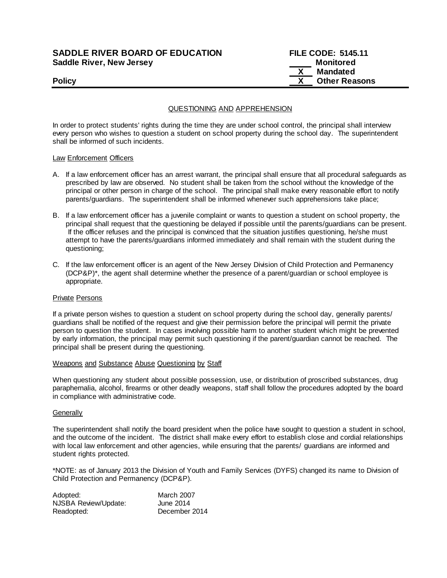# **SADDLE RIVER BOARD OF EDUCATION Saddle River, New Jersey**

| <b>SADDLE RIVER BOARD OF EDUCATION</b> | <b>FILE CODE: 5145.11</b> |
|----------------------------------------|---------------------------|
| Saddle River, New Jersey               | Monitored                 |
|                                        | Mandated                  |
| <b>Policy</b>                          | <b>Other Reasons</b>      |

## QUESTIONING AND APPREHENSION

In order to protect students' rights during the time they are under school control, the principal shall interview every person who wishes to question a student on school property during the school day. The superintendent shall be informed of such incidents.

### Law Enforcement Officers

- A. If a law enforcement officer has an arrest warrant, the principal shall ensure that all procedural safeguards as prescribed by law are observed. No student shall be taken from the school without the knowledge of the principal or other person in charge of the school. The principal shall make every reasonable effort to notify parents/guardians. The superintendent shall be informed whenever such apprehensions take place;
- B. If a law enforcement officer has a juvenile complaint or wants to question a student on school property, the principal shall request that the questioning be delayed if possible until the parents/guardians can be present. If the officer refuses and the principal is convinced that the situation justifies questioning, he/she must attempt to have the parents/guardians informed immediately and shall remain with the student during the questioning;
- C. If the law enforcement officer is an agent of the New Jersey Division of Child Protection and Permanency (DCP&P)\*, the agent shall determine whether the presence of a parent/guardian or school employee is appropriate.

#### Private Persons

If a private person wishes to question a student on school property during the school day, generally parents/ guardians shall be notified of the request and give their permission before the principal will permit the private person to question the student. In cases involving possible harm to another student which might be prevented by early information, the principal may permit such questioning if the parent/guardian cannot be reached. The principal shall be present during the questioning.

#### Weapons and Substance Abuse Questioning by Staff

When questioning any student about possible possession, use, or distribution of proscribed substances, drug paraphernalia, alcohol, firearms or other deadly weapons, staff shall follow the procedures adopted by the board in compliance with administrative code.

#### **Generally**

The superintendent shall notify the board president when the police have sought to question a student in school, and the outcome of the incident. The district shall make every effort to establish close and cordial relationships with local law enforcement and other agencies, while ensuring that the parents/ guardians are informed and student rights protected.

\*NOTE: as of January 2013 the Division of Youth and Family Services (DYFS) changed its name to Division of Child Protection and Permanency (DCP&P).

| Adopted:             | <b>March 2007</b> |
|----------------------|-------------------|
| NJSBA Review/Update: | June 2014         |
| Readopted:           | December 2014     |